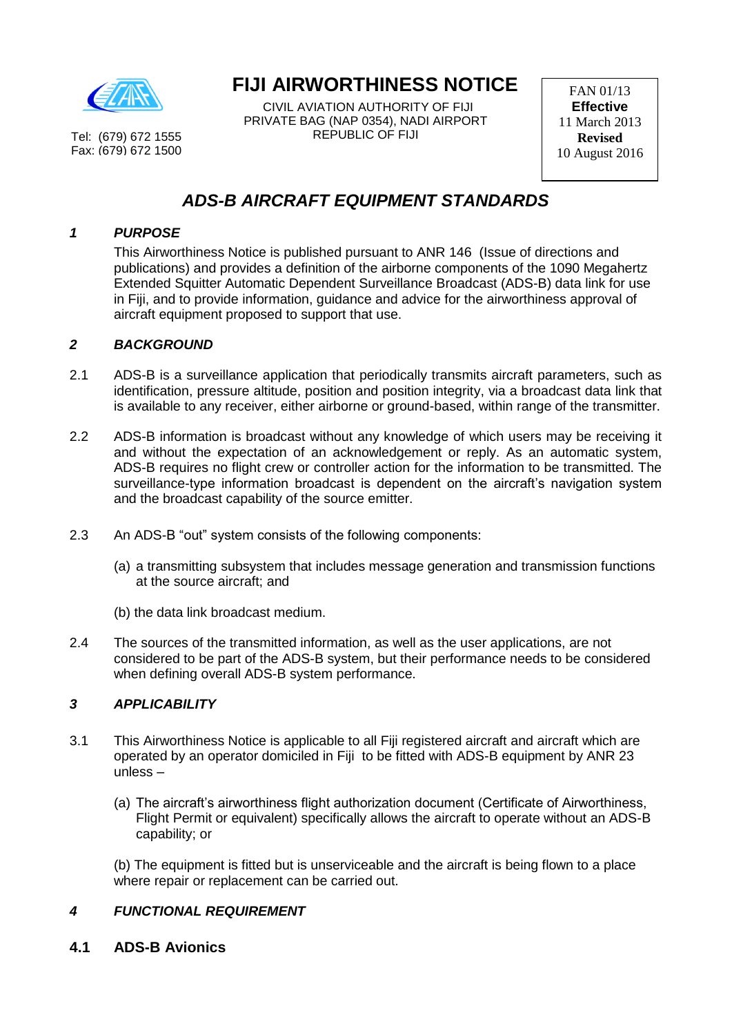

Tel: (679) 672 1555 Fax: (679) 672 1500

# **FIJI AIRWORTHINESS NOTICE**

 CIVIL AVIATION AUTHORITY OF FIJI PRIVATE BAG (NAP 0354), NADI AIRPORT REPUBLIC OF FIJI

FAN 01/13 **Effective** 11 March 2013 **Revised**  10 August 2016

# *ADS-B AIRCRAFT EQUIPMENT STANDARDS*

### *1 PURPOSE*

This Airworthiness Notice is published pursuant to ANR 146 (Issue of directions and publications) and provides a definition of the airborne components of the 1090 Megahertz Extended Squitter Automatic Dependent Surveillance Broadcast (ADS-B) data link for use in Fiji, and to provide information, guidance and advice for the airworthiness approval of aircraft equipment proposed to support that use.

## *2 BACKGROUND*

- 2.1 ADS-B is a surveillance application that periodically transmits aircraft parameters, such as identification, pressure altitude, position and position integrity, via a broadcast data link that is available to any receiver, either airborne or ground-based, within range of the transmitter.
- 2.2 ADS-B information is broadcast without any knowledge of which users may be receiving it and without the expectation of an acknowledgement or reply. As an automatic system, ADS-B requires no flight crew or controller action for the information to be transmitted. The surveillance-type information broadcast is dependent on the aircraft's navigation system and the broadcast capability of the source emitter.
- 2.3 An ADS-B "out" system consists of the following components:
	- (a) a transmitting subsystem that includes message generation and transmission functions at the source aircraft; and
	- (b) the data link broadcast medium.
- 2.4 The sources of the transmitted information, as well as the user applications, are not considered to be part of the ADS-B system, but their performance needs to be considered when defining overall ADS-B system performance.

## *3 APPLICABILITY*

- 3.1 This Airworthiness Notice is applicable to all Fiji registered aircraft and aircraft which are operated by an operator domiciled in Fiji to be fitted with ADS-B equipment by ANR 23 unless –
	- (a) The aircraft's airworthiness flight authorization document (Certificate of Airworthiness, Flight Permit or equivalent) specifically allows the aircraft to operate without an ADS-B capability; or

(b) The equipment is fitted but is unserviceable and the aircraft is being flown to a place where repair or replacement can be carried out.

## *4 FUNCTIONAL REQUIREMENT*

**4.1 ADS-B Avionics**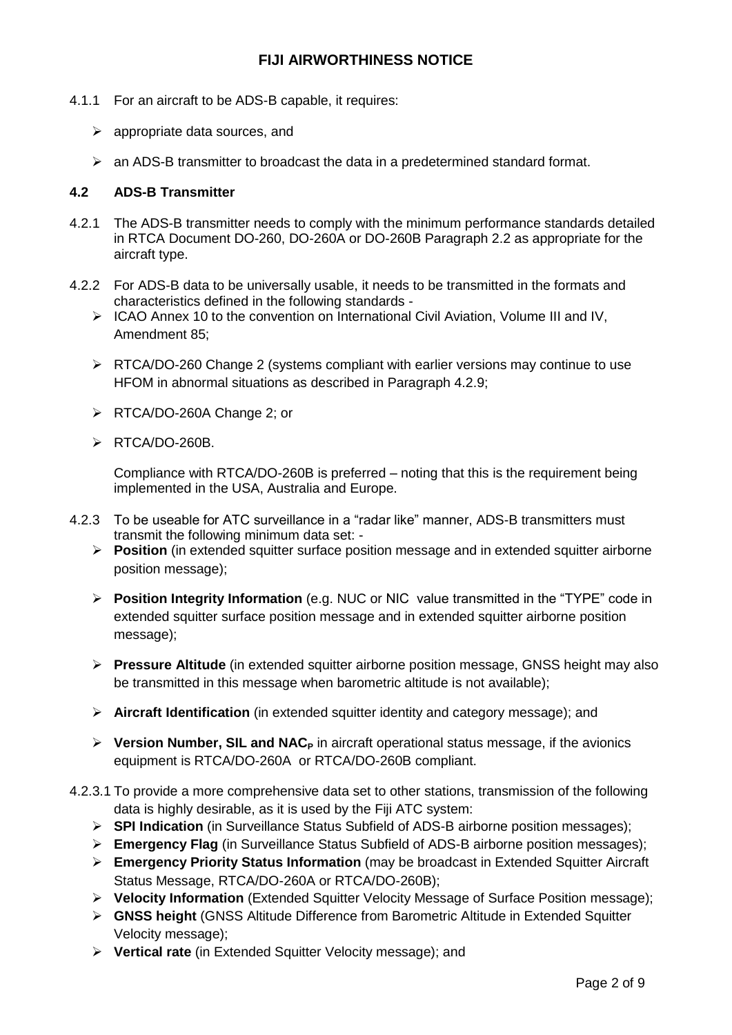- 4.1.1 For an aircraft to be ADS-B capable, it requires:
	- $\triangleright$  appropriate data sources, and
	- $\triangleright$  an ADS-B transmitter to broadcast the data in a predetermined standard format.

#### **4.2 ADS-B Transmitter**

- 4.2.1 The ADS-B transmitter needs to comply with the minimum performance standards detailed in RTCA Document DO-260, DO-260A or DO-260B Paragraph 2.2 as appropriate for the aircraft type.
- 4.2.2 For ADS-B data to be universally usable, it needs to be transmitted in the formats and characteristics defined in the following standards -
	- $\triangleright$  ICAO Annex 10 to the convention on International Civil Aviation, Volume III and IV, Amendment 85;
	- $\triangleright$  RTCA/DO-260 Change 2 (systems compliant with earlier versions may continue to use HFOM in abnormal situations as described in Paragraph 4.2.9;
	- RTCA/DO-260A Change 2; or
	- > RTCA/DO-260B.

Compliance with RTCA/DO-260B is preferred – noting that this is the requirement being implemented in the USA, Australia and Europe.

- 4.2.3 To be useable for ATC surveillance in a "radar like" manner, ADS-B transmitters must transmit the following minimum data set: -
	- **►** Position (in extended squitter surface position message and in extended squitter airborne position message);
	- **Position Integrity Information** (e.g. NUC or NIC value transmitted in the "TYPE" code in extended squitter surface position message and in extended squitter airborne position message);
	- **Pressure Altitude** (in extended squitter airborne position message, GNSS height may also be transmitted in this message when barometric altitude is not available);
	- **Aircraft Identification** (in extended squitter identity and category message); and
	- **Version Number, SIL and NAC<sup>P</sup>** in aircraft operational status message, if the avionics equipment is RTCA/DO-260A or RTCA/DO-260B compliant.
- 4.2.3.1 To provide a more comprehensive data set to other stations, transmission of the following data is highly desirable, as it is used by the Fiji ATC system:
	- **SPI Indication** (in Surveillance Status Subfield of ADS-B airborne position messages);
	- **Emergency Flag** (in Surveillance Status Subfield of ADS-B airborne position messages);
	- **Emergency Priority Status Information** (may be broadcast in Extended Squitter Aircraft Status Message, RTCA/DO-260A or RTCA/DO-260B);
	- **Velocity Information** (Extended Squitter Velocity Message of Surface Position message);
	- **GNSS height** (GNSS Altitude Difference from Barometric Altitude in Extended Squitter Velocity message);
	- **Vertical rate** (in Extended Squitter Velocity message); and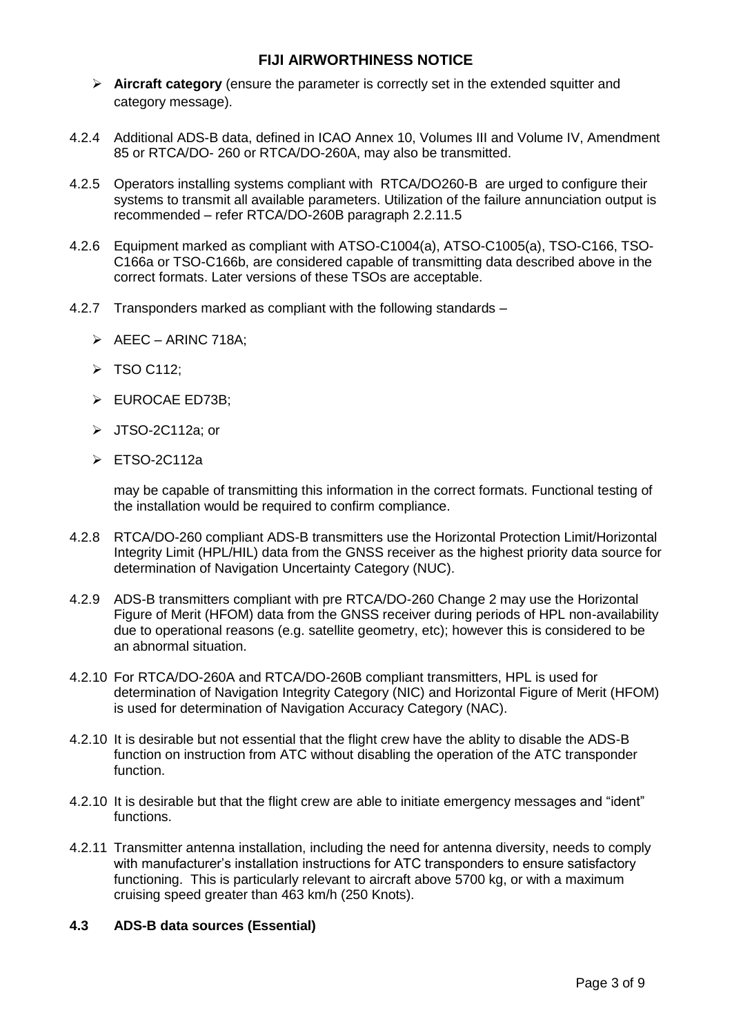- **Aircraft category** (ensure the parameter is correctly set in the extended squitter and category message).
- 4.2.4 Additional ADS-B data, defined in ICAO Annex 10, Volumes III and Volume IV, Amendment 85 or RTCA/DO- 260 or RTCA/DO-260A, may also be transmitted.
- 4.2.5 Operators installing systems compliant with RTCA/DO260-B are urged to configure their systems to transmit all available parameters. Utilization of the failure annunciation output is recommended – refer RTCA/DO-260B paragraph 2.2.11.5
- 4.2.6 Equipment marked as compliant with ATSO-C1004(a), ATSO-C1005(a), TSO-C166, TSO-C166a or TSO-C166b, are considered capable of transmitting data described above in the correct formats. Later versions of these TSOs are acceptable.
- 4.2.7 Transponders marked as compliant with the following standards
	- $\triangleright$  AEEC ARINC 718A;
	- $\triangleright$  TSO C112;
	- EUROCAE ED73B:
	- $\triangleright$  JTSO-2C112a; or
	- ETSO-2C112a

may be capable of transmitting this information in the correct formats. Functional testing of the installation would be required to confirm compliance.

- 4.2.8 RTCA/DO-260 compliant ADS-B transmitters use the Horizontal Protection Limit/Horizontal Integrity Limit (HPL/HIL) data from the GNSS receiver as the highest priority data source for determination of Navigation Uncertainty Category (NUC).
- 4.2.9 ADS-B transmitters compliant with pre RTCA/DO-260 Change 2 may use the Horizontal Figure of Merit (HFOM) data from the GNSS receiver during periods of HPL non-availability due to operational reasons (e.g. satellite geometry, etc); however this is considered to be an abnormal situation.
- 4.2.10 For RTCA/DO-260A and RTCA/DO-260B compliant transmitters, HPL is used for determination of Navigation Integrity Category (NIC) and Horizontal Figure of Merit (HFOM) is used for determination of Navigation Accuracy Category (NAC).
- 4.2.10 It is desirable but not essential that the flight crew have the ablity to disable the ADS-B function on instruction from ATC without disabling the operation of the ATC transponder function.
- 4.2.10 It is desirable but that the flight crew are able to initiate emergency messages and "ident" functions.
- 4.2.11 Transmitter antenna installation, including the need for antenna diversity, needs to comply with manufacturer's installation instructions for ATC transponders to ensure satisfactory functioning. This is particularly relevant to aircraft above 5700 kg, or with a maximum cruising speed greater than 463 km/h (250 Knots).

#### **4.3 ADS-B data sources (Essential)**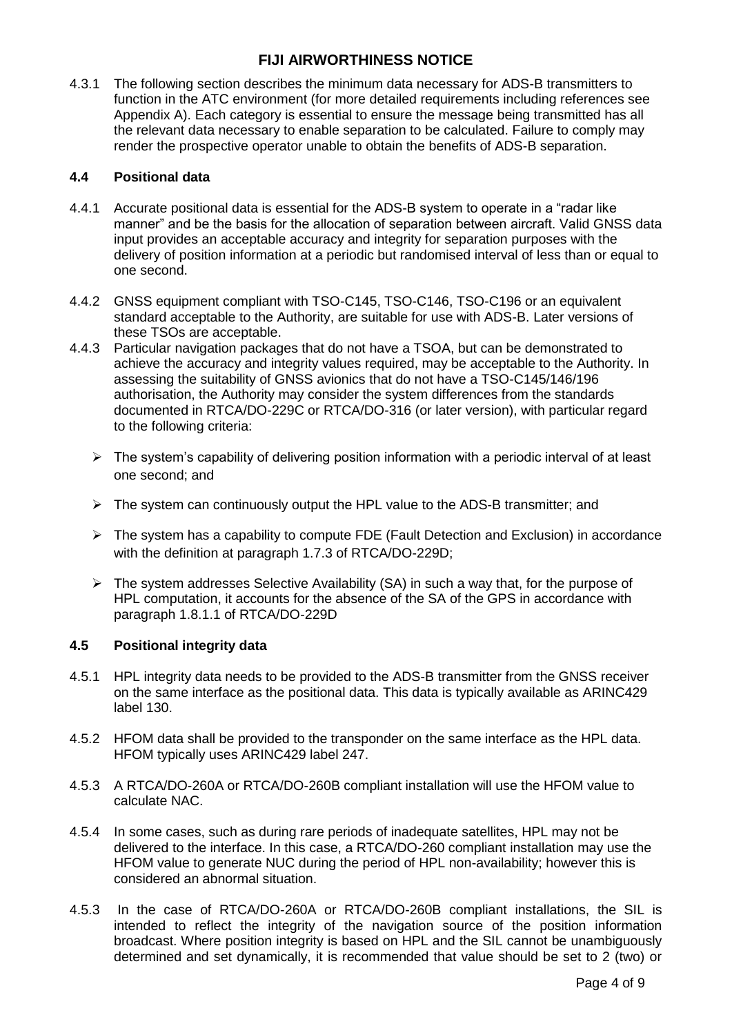4.3.1 The following section describes the minimum data necessary for ADS-B transmitters to function in the ATC environment (for more detailed requirements including references see Appendix A). Each category is essential to ensure the message being transmitted has all the relevant data necessary to enable separation to be calculated. Failure to comply may render the prospective operator unable to obtain the benefits of ADS-B separation.

#### **4.4 Positional data**

- 4.4.1 Accurate positional data is essential for the ADS-B system to operate in a "radar like manner" and be the basis for the allocation of separation between aircraft. Valid GNSS data input provides an acceptable accuracy and integrity for separation purposes with the delivery of position information at a periodic but randomised interval of less than or equal to one second.
- 4.4.2 GNSS equipment compliant with TSO-C145, TSO-C146, TSO-C196 or an equivalent standard acceptable to the Authority, are suitable for use with ADS-B. Later versions of these TSOs are acceptable.
- 4.4.3 Particular navigation packages that do not have a TSOA, but can be demonstrated to achieve the accuracy and integrity values required, may be acceptable to the Authority. In assessing the suitability of GNSS avionics that do not have a TSO-C145/146/196 authorisation, the Authority may consider the system differences from the standards documented in RTCA/DO-229C or RTCA/DO-316 (or later version), with particular regard to the following criteria:
	- $\triangleright$  The system's capability of delivering position information with a periodic interval of at least one second; and
	- $\triangleright$  The system can continuously output the HPL value to the ADS-B transmitter; and
	- $\triangleright$  The system has a capability to compute FDE (Fault Detection and Exclusion) in accordance with the definition at paragraph 1.7.3 of RTCA/DO-229D;
	- $\triangleright$  The system addresses Selective Availability (SA) in such a way that, for the purpose of HPL computation, it accounts for the absence of the SA of the GPS in accordance with paragraph 1.8.1.1 of RTCA/DO-229D

#### **4.5 Positional integrity data**

- 4.5.1 HPL integrity data needs to be provided to the ADS-B transmitter from the GNSS receiver on the same interface as the positional data. This data is typically available as ARINC429 label 130.
- 4.5.2 HFOM data shall be provided to the transponder on the same interface as the HPL data. HFOM typically uses ARINC429 label 247.
- 4.5.3 A RTCA/DO-260A or RTCA/DO-260B compliant installation will use the HFOM value to calculate NAC.
- 4.5.4 In some cases, such as during rare periods of inadequate satellites, HPL may not be delivered to the interface. In this case, a RTCA/DO-260 compliant installation may use the HFOM value to generate NUC during the period of HPL non-availability; however this is considered an abnormal situation.
- 4.5.3 In the case of RTCA/DO-260A or RTCA/DO-260B compliant installations, the SIL is intended to reflect the integrity of the navigation source of the position information broadcast. Where position integrity is based on HPL and the SIL cannot be unambiguously determined and set dynamically, it is recommended that value should be set to 2 (two) or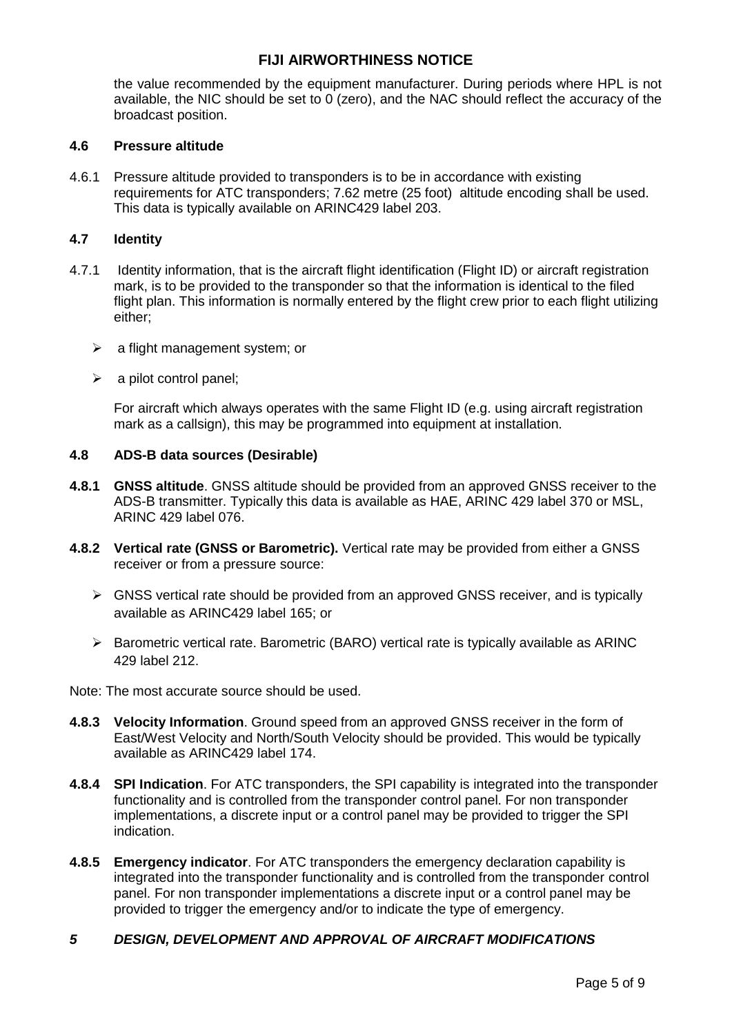the value recommended by the equipment manufacturer. During periods where HPL is not available, the NIC should be set to 0 (zero), and the NAC should reflect the accuracy of the broadcast position.

#### **4.6 Pressure altitude**

4.6.1 Pressure altitude provided to transponders is to be in accordance with existing requirements for ATC transponders; 7.62 metre (25 foot) altitude encoding shall be used. This data is typically available on ARINC429 label 203.

#### **4.7 Identity**

- 4.7.1 Identity information, that is the aircraft flight identification (Flight ID) or aircraft registration mark, is to be provided to the transponder so that the information is identical to the filed flight plan. This information is normally entered by the flight crew prior to each flight utilizing either;
	- $\triangleright$  a flight management system; or
	- $\triangleright$  a pilot control panel;

For aircraft which always operates with the same Flight ID (e.g. using aircraft registration mark as a callsign), this may be programmed into equipment at installation.

#### **4.8 ADS-B data sources (Desirable)**

- **4.8.1 GNSS altitude**. GNSS altitude should be provided from an approved GNSS receiver to the ADS-B transmitter. Typically this data is available as HAE, ARINC 429 label 370 or MSL, ARINC 429 label 076.
- **4.8.2 Vertical rate (GNSS or Barometric).** Vertical rate may be provided from either a GNSS receiver or from a pressure source:
	- $\triangleright$  GNSS vertical rate should be provided from an approved GNSS receiver, and is typically available as ARINC429 label 165; or
	- $\triangleright$  Barometric vertical rate. Barometric (BARO) vertical rate is typically available as ARINC 429 label 212.

Note: The most accurate source should be used.

- **4.8.3 Velocity Information**. Ground speed from an approved GNSS receiver in the form of East/West Velocity and North/South Velocity should be provided. This would be typically available as ARINC429 label 174.
- **4.8.4 SPI Indication**. For ATC transponders, the SPI capability is integrated into the transponder functionality and is controlled from the transponder control panel. For non transponder implementations, a discrete input or a control panel may be provided to trigger the SPI indication.
- **4.8.5 Emergency indicator**. For ATC transponders the emergency declaration capability is integrated into the transponder functionality and is controlled from the transponder control panel. For non transponder implementations a discrete input or a control panel may be provided to trigger the emergency and/or to indicate the type of emergency.

#### *5 DESIGN, DEVELOPMENT AND APPROVAL OF AIRCRAFT MODIFICATIONS*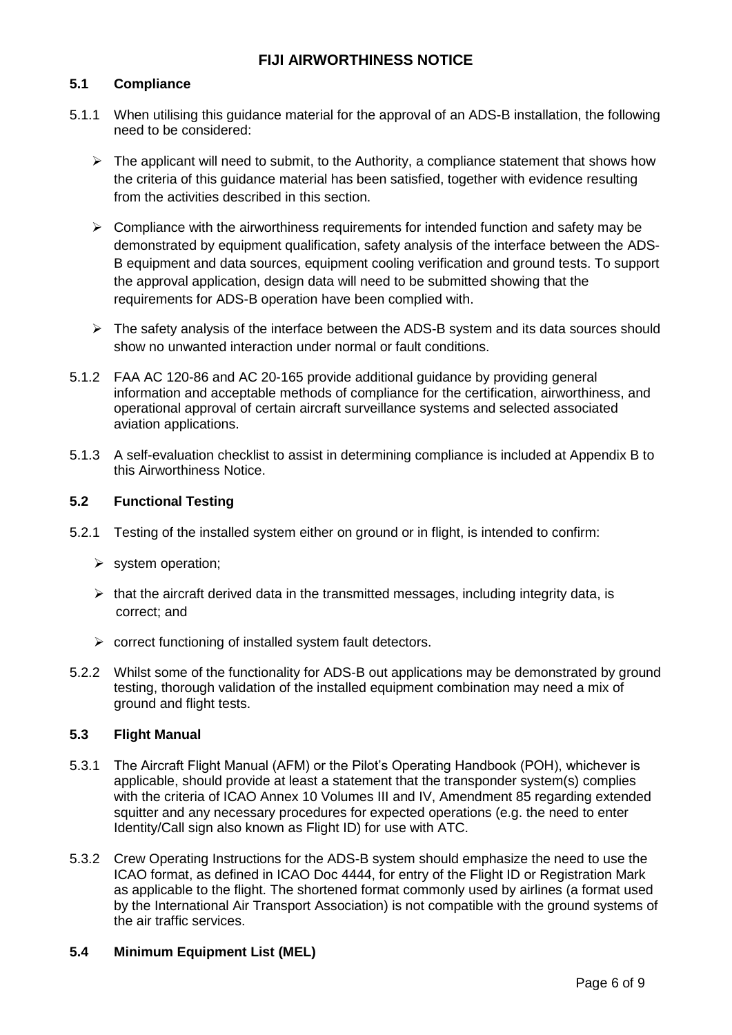#### **5.1 Compliance**

- 5.1.1 When utilising this guidance material for the approval of an ADS-B installation, the following need to be considered:
	- $\triangleright$  The applicant will need to submit, to the Authority, a compliance statement that shows how the criteria of this guidance material has been satisfied, together with evidence resulting from the activities described in this section.
	- $\triangleright$  Compliance with the airworthiness requirements for intended function and safety may be demonstrated by equipment qualification, safety analysis of the interface between the ADS-B equipment and data sources, equipment cooling verification and ground tests. To support the approval application, design data will need to be submitted showing that the requirements for ADS-B operation have been complied with.
	- $\triangleright$  The safety analysis of the interface between the ADS-B system and its data sources should show no unwanted interaction under normal or fault conditions.
- 5.1.2 FAA AC 120-86 and AC 20-165 provide additional guidance by providing general information and acceptable methods of compliance for the certification, airworthiness, and operational approval of certain aircraft surveillance systems and selected associated aviation applications.
- 5.1.3 A self-evaluation checklist to assist in determining compliance is included at Appendix B to this Airworthiness Notice.

#### **5.2 Functional Testing**

- 5.2.1 Testing of the installed system either on ground or in flight, is intended to confirm:
	- $\triangleright$  system operation;
	- $\triangleright$  that the aircraft derived data in the transmitted messages, including integrity data, is correct; and
	- $\triangleright$  correct functioning of installed system fault detectors.
- 5.2.2 Whilst some of the functionality for ADS-B out applications may be demonstrated by ground testing, thorough validation of the installed equipment combination may need a mix of ground and flight tests.

#### **5.3 Flight Manual**

- 5.3.1 The Aircraft Flight Manual (AFM) or the Pilot's Operating Handbook (POH), whichever is applicable, should provide at least a statement that the transponder system(s) complies with the criteria of ICAO Annex 10 Volumes III and IV, Amendment 85 regarding extended squitter and any necessary procedures for expected operations (e.g. the need to enter Identity/Call sign also known as Flight ID) for use with ATC.
- 5.3.2 Crew Operating Instructions for the ADS-B system should emphasize the need to use the ICAO format, as defined in ICAO Doc 4444, for entry of the Flight ID or Registration Mark as applicable to the flight. The shortened format commonly used by airlines (a format used by the International Air Transport Association) is not compatible with the ground systems of the air traffic services.

#### **5.4 Minimum Equipment List (MEL)**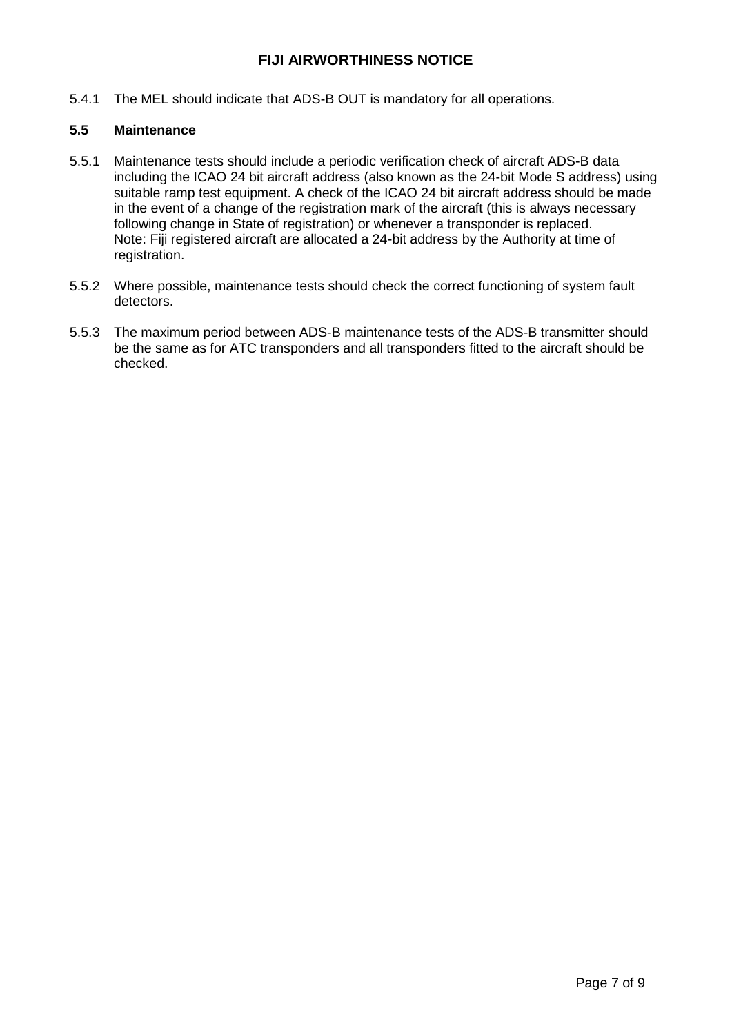5.4.1 The MEL should indicate that ADS-B OUT is mandatory for all operations.

## **5.5 Maintenance**

- 5.5.1 Maintenance tests should include a periodic verification check of aircraft ADS-B data including the ICAO 24 bit aircraft address (also known as the 24-bit Mode S address) using suitable ramp test equipment. A check of the ICAO 24 bit aircraft address should be made in the event of a change of the registration mark of the aircraft (this is always necessary following change in State of registration) or whenever a transponder is replaced. Note: Fiji registered aircraft are allocated a 24-bit address by the Authority at time of registration.
- 5.5.2 Where possible, maintenance tests should check the correct functioning of system fault detectors.
- 5.5.3 The maximum period between ADS-B maintenance tests of the ADS-B transmitter should be the same as for ATC transponders and all transponders fitted to the aircraft should be checked.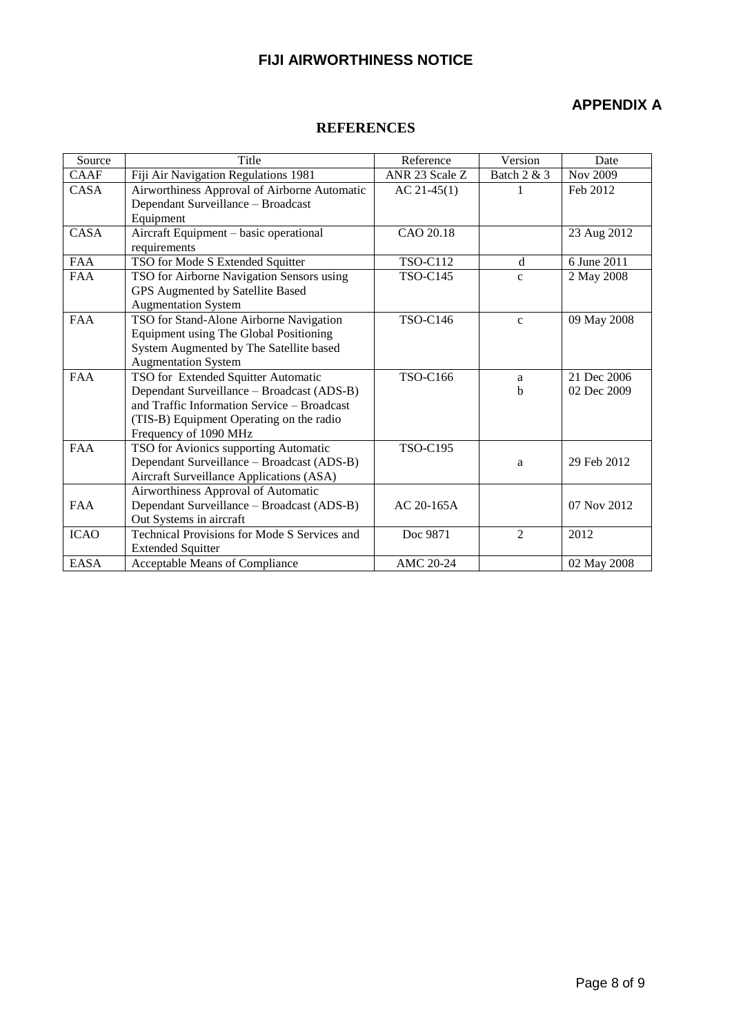# **APPENDIX A**

#### **REFERENCES**

| Source      | Title                                        | Reference       | Version        | Date        |
|-------------|----------------------------------------------|-----------------|----------------|-------------|
| <b>CAAF</b> | Fiji Air Navigation Regulations 1981         | ANR 23 Scale Z  | Batch 2 & 3    | Nov 2009    |
| CASA        | Airworthiness Approval of Airborne Automatic | $AC 21-45(1)$   |                | Feb 2012    |
|             | Dependant Surveillance - Broadcast           |                 |                |             |
|             | Equipment                                    |                 |                |             |
| CASA        | Aircraft Equipment - basic operational       | CAO 20.18       |                | 23 Aug 2012 |
|             | requirements                                 |                 |                |             |
| <b>FAA</b>  | TSO for Mode S Extended Squitter             | <b>TSO-C112</b> | d              | 6 June 2011 |
| <b>FAA</b>  | TSO for Airborne Navigation Sensors using    | <b>TSO-C145</b> | $\mathbf{C}$   | 2 May 2008  |
|             | GPS Augmented by Satellite Based             |                 |                |             |
|             | <b>Augmentation System</b>                   |                 |                |             |
| <b>FAA</b>  | TSO for Stand-Alone Airborne Navigation      | <b>TSO-C146</b> | $\mathbf{c}$   | 09 May 2008 |
|             | Equipment using The Global Positioning       |                 |                |             |
|             | System Augmented by The Satellite based      |                 |                |             |
|             | <b>Augmentation System</b>                   |                 |                |             |
| <b>FAA</b>  | TSO for Extended Squitter Automatic          | <b>TSO-C166</b> | a              | 21 Dec 2006 |
|             | Dependant Surveillance - Broadcast (ADS-B)   |                 | b              | 02 Dec 2009 |
|             | and Traffic Information Service – Broadcast  |                 |                |             |
|             | (TIS-B) Equipment Operating on the radio     |                 |                |             |
|             | Frequency of 1090 MHz                        |                 |                |             |
| <b>FAA</b>  | TSO for Avionics supporting Automatic        | <b>TSO-C195</b> |                |             |
|             | Dependant Surveillance - Broadcast (ADS-B)   |                 | a              | 29 Feb 2012 |
|             | Aircraft Surveillance Applications (ASA)     |                 |                |             |
|             | Airworthiness Approval of Automatic          |                 |                |             |
| <b>FAA</b>  | Dependant Surveillance - Broadcast (ADS-B)   | $AC 20-165A$    |                | 07 Nov 2012 |
|             | Out Systems in aircraft                      |                 |                |             |
| <b>ICAO</b> | Technical Provisions for Mode S Services and | Doc 9871        | $\overline{2}$ | 2012        |
|             | <b>Extended Squitter</b>                     |                 |                |             |
| <b>EASA</b> | Acceptable Means of Compliance               | AMC 20-24       |                | 02 May 2008 |